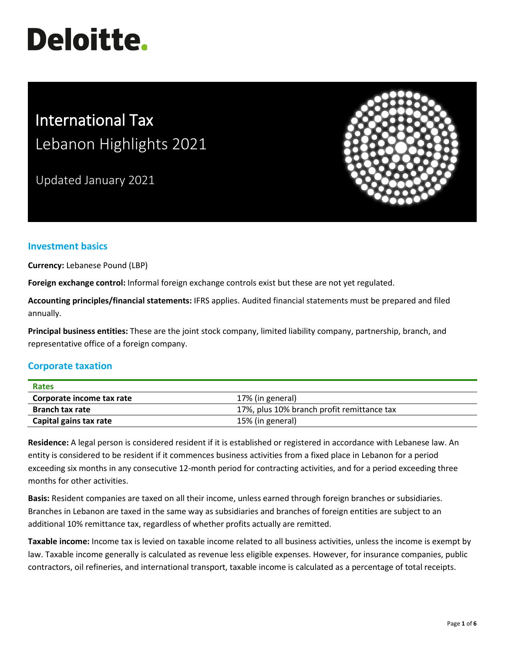# **Deloitte.**

# International Tax Lebanon Highlights 2021

Updated January 2021



# **Investment basics**

**Currency:** Lebanese Pound (LBP)

**Foreign exchange control:** Informal foreign exchange controls exist but these are not yet regulated.

**Accounting principles/financial statements:** IFRS applies. Audited financial statements must be prepared and filed annually.

**Principal business entities:** These are the joint stock company, limited liability company, partnership, branch, and representative office of a foreign company.

# **Corporate taxation**

| <b>Rates</b>              |                                            |
|---------------------------|--------------------------------------------|
| Corporate income tax rate | 17% (in general)                           |
| <b>Branch tax rate</b>    | 17%, plus 10% branch profit remittance tax |
| Capital gains tax rate    | 15% (in general)                           |

**Residence:** A legal person is considered resident if it is established or registered in accordance with Lebanese law. An entity is considered to be resident if it commences business activities from a fixed place in Lebanon for a period exceeding six months in any consecutive 12-month period for contracting activities, and for a period exceeding three months for other activities.

**Basis:** Resident companies are taxed on all their income, unless earned through foreign branches or subsidiaries. Branches in Lebanon are taxed in the same way as subsidiaries and branches of foreign entities are subject to an additional 10% remittance tax, regardless of whether profits actually are remitted.

**Taxable income:** Income tax is levied on taxable income related to all business activities, unless the income is exempt by law. Taxable income generally is calculated as revenue less eligible expenses. However, for insurance companies, public contractors, oil refineries, and international transport, taxable income is calculated as a percentage of total receipts.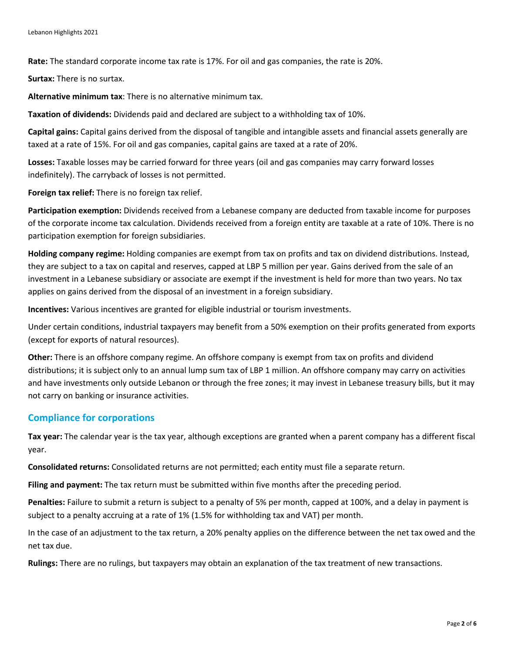**Rate:** The standard corporate income tax rate is 17%. For oil and gas companies, the rate is 20%.

**Surtax:** There is no surtax.

**Alternative minimum tax**: There is no alternative minimum tax.

**Taxation of dividends:** Dividends paid and declared are subject to a withholding tax of 10%.

**Capital gains:** Capital gains derived from the disposal of tangible and intangible assets and financial assets generally are taxed at a rate of 15%. For oil and gas companies, capital gains are taxed at a rate of 20%.

**Losses:** Taxable losses may be carried forward for three years (oil and gas companies may carry forward losses indefinitely). The carryback of losses is not permitted.

**Foreign tax relief:** There is no foreign tax relief.

**Participation exemption:** Dividends received from a Lebanese company are deducted from taxable income for purposes of the corporate income tax calculation. Dividends received from a foreign entity are taxable at a rate of 10%. There is no participation exemption for foreign subsidiaries.

**Holding company regime:** Holding companies are exempt from tax on profits and tax on dividend distributions. Instead, they are subject to a tax on capital and reserves, capped at LBP 5 million per year. Gains derived from the sale of an investment in a Lebanese subsidiary or associate are exempt if the investment is held for more than two years. No tax applies on gains derived from the disposal of an investment in a foreign subsidiary.

**Incentives:** Various incentives are granted for eligible industrial or tourism investments.

Under certain conditions, industrial taxpayers may benefit from a 50% exemption on their profits generated from exports (except for exports of natural resources).

**Other:** There is an offshore company regime. An offshore company is exempt from tax on profits and dividend distributions; it is subject only to an annual lump sum tax of LBP 1 million. An offshore company may carry on activities and have investments only outside Lebanon or through the free zones; it may invest in Lebanese treasury bills, but it may not carry on banking or insurance activities.

#### **Compliance for corporations**

**Tax year:** The calendar year is the tax year, although exceptions are granted when a parent company has a different fiscal year.

**Consolidated returns:** Consolidated returns are not permitted; each entity must file a separate return.

**Filing and payment:** The tax return must be submitted within five months after the preceding period.

**Penalties:** Failure to submit a return is subject to a penalty of 5% per month, capped at 100%, and a delay in payment is subject to a penalty accruing at a rate of 1% (1.5% for withholding tax and VAT) per month.

In the case of an adjustment to the tax return, a 20% penalty applies on the difference between the net tax owed and the net tax due.

**Rulings:** There are no rulings, but taxpayers may obtain an explanation of the tax treatment of new transactions.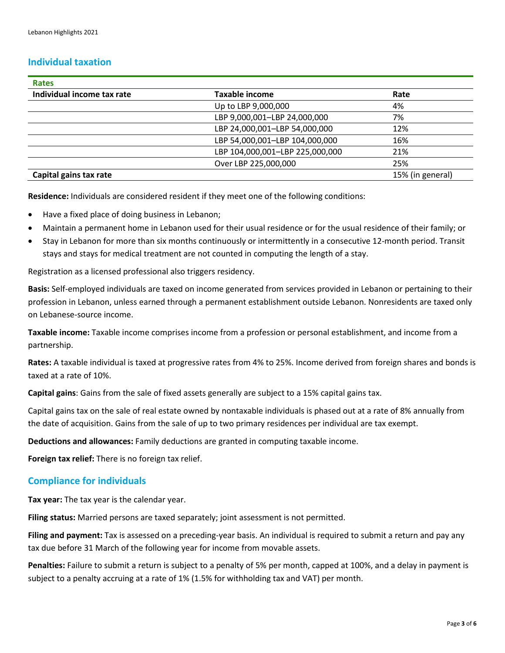# **Individual taxation**

| <b>Rates</b>               |                                 |                  |
|----------------------------|---------------------------------|------------------|
| Individual income tax rate | <b>Taxable income</b>           | Rate             |
|                            | Up to LBP 9,000,000             | 4%               |
|                            | LBP 9,000,001-LBP 24,000,000    | 7%               |
|                            | LBP 24,000,001-LBP 54,000,000   | 12%              |
|                            | LBP 54,000,001-LBP 104,000,000  | 16%              |
|                            | LBP 104,000,001-LBP 225,000,000 | 21%              |
|                            | Over LBP 225,000,000            | 25%              |
| Capital gains tax rate     |                                 | 15% (in general) |

**Residence:** Individuals are considered resident if they meet one of the following conditions:

- Have a fixed place of doing business in Lebanon;
- Maintain a permanent home in Lebanon used for their usual residence or for the usual residence of their family; or
- Stay in Lebanon for more than six months continuously or intermittently in a consecutive 12-month period. Transit stays and stays for medical treatment are not counted in computing the length of a stay.

Registration as a licensed professional also triggers residency.

**Basis:** Self-employed individuals are taxed on income generated from services provided in Lebanon or pertaining to their profession in Lebanon, unless earned through a permanent establishment outside Lebanon. Nonresidents are taxed only on Lebanese-source income.

**Taxable income:** Taxable income comprises income from a profession or personal establishment, and income from a partnership.

**Rates:** A taxable individual is taxed at progressive rates from 4% to 25%. Income derived from foreign shares and bonds is taxed at a rate of 10%.

**Capital gains**: Gains from the sale of fixed assets generally are subject to a 15% capital gains tax.

Capital gains tax on the sale of real estate owned by nontaxable individuals is phased out at a rate of 8% annually from the date of acquisition. Gains from the sale of up to two primary residences per individual are tax exempt.

**Deductions and allowances:** Family deductions are granted in computing taxable income.

**Foreign tax relief:** There is no foreign tax relief.

#### **Compliance for individuals**

**Tax year:** The tax year is the calendar year.

**Filing status:** Married persons are taxed separately; joint assessment is not permitted.

**Filing and payment:** Tax is assessed on a preceding-year basis. An individual is required to submit a return and pay any tax due before 31 March of the following year for income from movable assets.

**Penalties:** Failure to submit a return is subject to a penalty of 5% per month, capped at 100%, and a delay in payment is subject to a penalty accruing at a rate of 1% (1.5% for withholding tax and VAT) per month.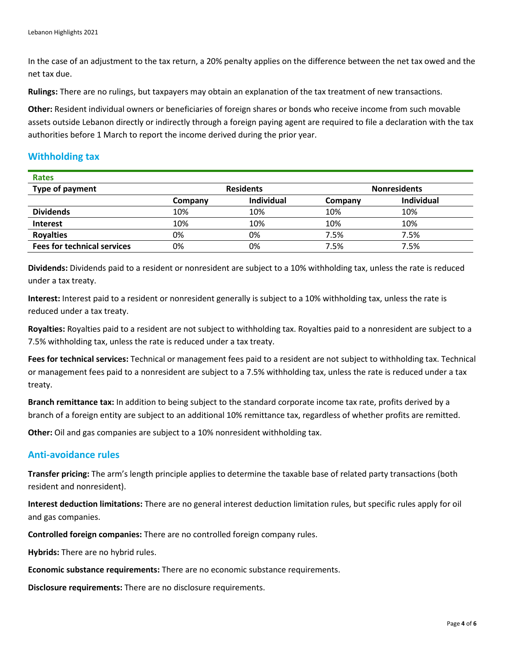In the case of an adjustment to the tax return, a 20% penalty applies on the difference between the net tax owed and the net tax due.

**Rulings:** There are no rulings, but taxpayers may obtain an explanation of the tax treatment of new transactions.

**Other:** Resident individual owners or beneficiaries of foreign shares or bonds who receive income from such movable assets outside Lebanon directly or indirectly through a foreign paying agent are required to file a declaration with the tax authorities before 1 March to report the income derived during the prior year.

# **Withholding tax**

| <b>Rates</b>                       |                  |            |                     |                   |
|------------------------------------|------------------|------------|---------------------|-------------------|
| Type of payment                    | <b>Residents</b> |            | <b>Nonresidents</b> |                   |
|                                    | Company          | Individual | Company             | <b>Individual</b> |
| <b>Dividends</b>                   | 10%              | 10%        | 10%                 | 10%               |
| <b>Interest</b>                    | 10%              | 10%        | 10%                 | 10%               |
| <b>Royalties</b>                   | 0%               | 0%         | 7.5%                | 7.5%              |
| <b>Fees for technical services</b> | 0%               | 0%         | 7.5%                | 7.5%              |

**Dividends:** Dividends paid to a resident or nonresident are subject to a 10% withholding tax, unless the rate is reduced under a tax treaty.

**Interest:** Interest paid to a resident or nonresident generally is subject to a 10% withholding tax, unless the rate is reduced under a tax treaty.

**Royalties:** Royalties paid to a resident are not subject to withholding tax. Royalties paid to a nonresident are subject to a 7.5% withholding tax, unless the rate is reduced under a tax treaty.

**Fees for technical services:** Technical or management fees paid to a resident are not subject to withholding tax. Technical or management fees paid to a nonresident are subject to a 7.5% withholding tax, unless the rate is reduced under a tax treaty.

**Branch remittance tax:** In addition to being subject to the standard corporate income tax rate, profits derived by a branch of a foreign entity are subject to an additional 10% remittance tax, regardless of whether profits are remitted.

**Other:** Oil and gas companies are subject to a 10% nonresident withholding tax.

# **Anti-avoidance rules**

**Transfer pricing:** The arm's length principle applies to determine the taxable base of related party transactions (both resident and nonresident).

**Interest deduction limitations:** There are no general interest deduction limitation rules, but specific rules apply for oil and gas companies.

**Controlled foreign companies:** There are no controlled foreign company rules.

**Hybrids:** There are no hybrid rules.

**Economic substance requirements:** There are no economic substance requirements.

**Disclosure requirements:** There are no disclosure requirements.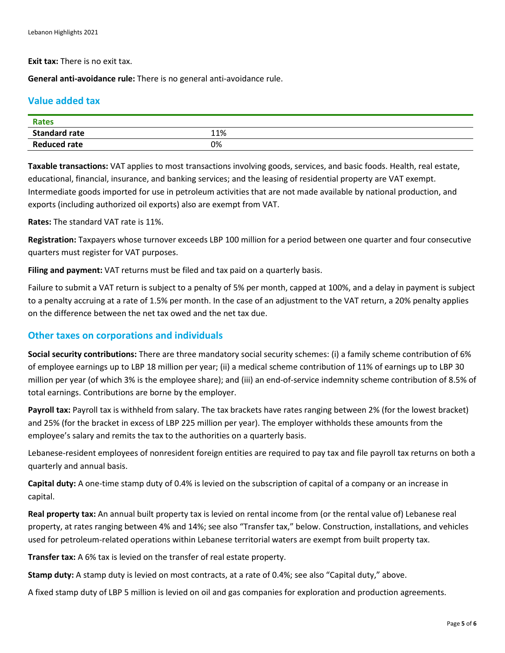**Exit tax:** There is no exit tax.

**General anti-avoidance rule:** There is no general anti-avoidance rule.

# **Value added tax**

| <b>Rates</b>         |     |
|----------------------|-----|
| <b>Standard rate</b> | 11% |
| <b>Reduced rate</b>  | 0%  |

**Taxable transactions:** VAT applies to most transactions involving goods, services, and basic foods. Health, real estate, educational, financial, insurance, and banking services; and the leasing of residential property are VAT exempt. Intermediate goods imported for use in petroleum activities that are not made available by national production, and exports (including authorized oil exports) also are exempt from VAT.

**Rates:** The standard VAT rate is 11%.

**Registration:** Taxpayers whose turnover exceeds LBP 100 million for a period between one quarter and four consecutive quarters must register for VAT purposes.

**Filing and payment:** VAT returns must be filed and tax paid on a quarterly basis.

Failure to submit a VAT return is subject to a penalty of 5% per month, capped at 100%, and a delay in payment is subject to a penalty accruing at a rate of 1.5% per month. In the case of an adjustment to the VAT return, a 20% penalty applies on the difference between the net tax owed and the net tax due.

# **Other taxes on corporations and individuals**

**Social security contributions:** There are three mandatory social security schemes: (i) a family scheme contribution of 6% of employee earnings up to LBP 18 million per year; (ii) a medical scheme contribution of 11% of earnings up to LBP 30 million per year (of which 3% is the employee share); and (iii) an end-of-service indemnity scheme contribution of 8.5% of total earnings. Contributions are borne by the employer.

**Payroll tax:** Payroll tax is withheld from salary. The tax brackets have rates ranging between 2% (for the lowest bracket) and 25% (for the bracket in excess of LBP 225 million per year). The employer withholds these amounts from the employee's salary and remits the tax to the authorities on a quarterly basis.

Lebanese-resident employees of nonresident foreign entities are required to pay tax and file payroll tax returns on both a quarterly and annual basis.

**Capital duty:** A one-time stamp duty of 0.4% is levied on the subscription of capital of a company or an increase in capital.

**Real property tax:** An annual built property tax is levied on rental income from (or the rental value of) Lebanese real property, at rates ranging between 4% and 14%; see also "Transfer tax," below. Construction, installations, and vehicles used for petroleum-related operations within Lebanese territorial waters are exempt from built property tax.

**Transfer tax:** A 6% tax is levied on the transfer of real estate property.

**Stamp duty:** A stamp duty is levied on most contracts, at a rate of 0.4%; see also "Capital duty," above.

A fixed stamp duty of LBP 5 million is levied on oil and gas companies for exploration and production agreements.